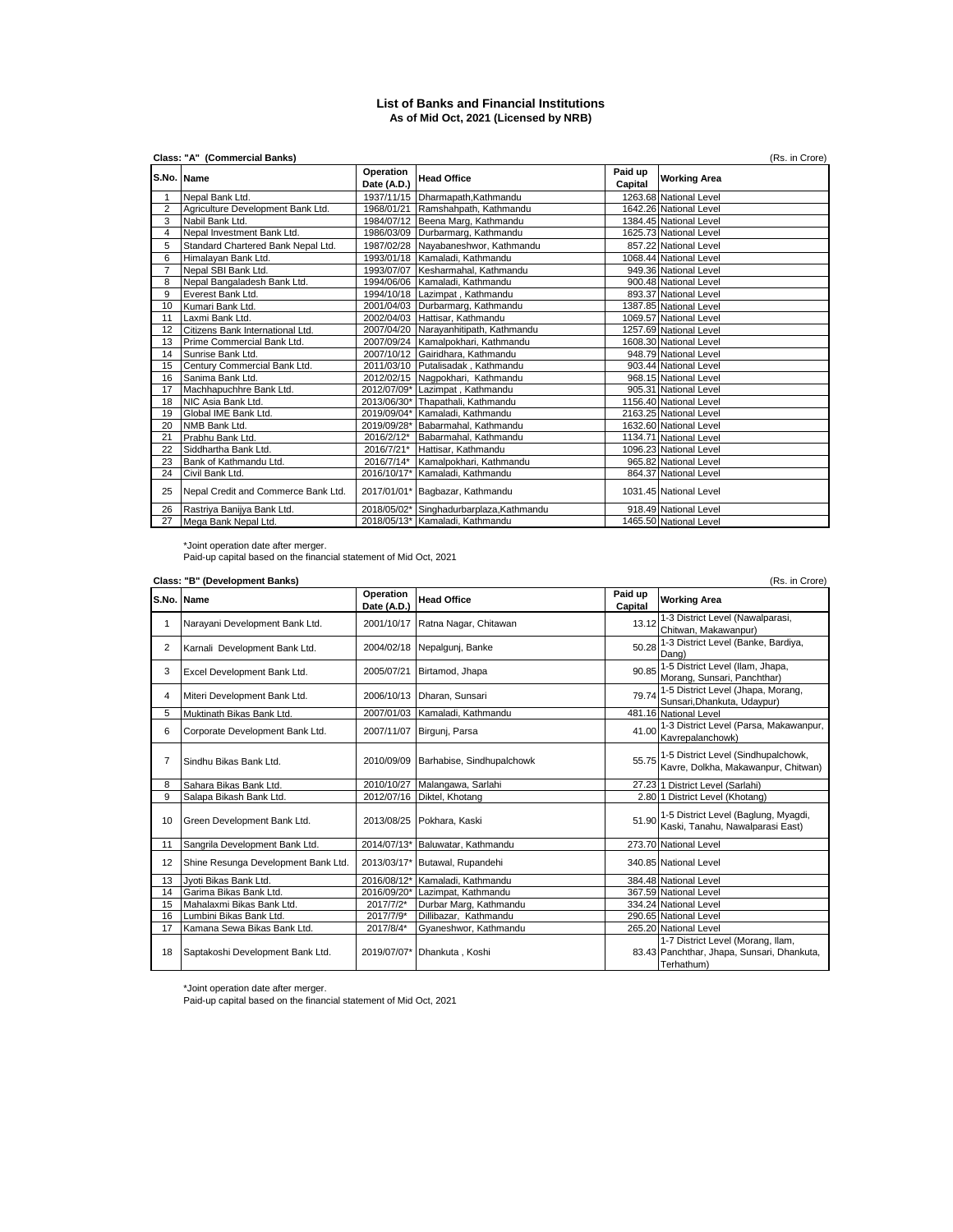## **List of Banks and Financial Institutions As of Mid Oct, 2021 (Licensed by NRB)**

|                | Class: "A" (Commercial Banks)<br>(Rs. in Crore) |                          |                                          |                    |                        |  |  |
|----------------|-------------------------------------------------|--------------------------|------------------------------------------|--------------------|------------------------|--|--|
| S.No. Name     |                                                 | Operation<br>Date (A.D.) | <b>Head Office</b>                       | Paid up<br>Capital | <b>Working Area</b>    |  |  |
|                | Nepal Bank Ltd.                                 |                          | 1937/11/15 Dharmapath, Kathmandu         |                    | 1263.68 National Level |  |  |
| $\overline{2}$ | Agriculture Development Bank Ltd.               |                          | 1968/01/21 Ramshahpath, Kathmandu        |                    | 1642.26 National Level |  |  |
| 3              | Nabil Bank Ltd.                                 |                          | 1984/07/12 Beena Marg, Kathmandu         |                    | 1384.45 National Level |  |  |
| 4              | Nepal Investment Bank Ltd.                      |                          | 1986/03/09 Durbarmarg, Kathmandu         |                    | 1625.73 National Level |  |  |
| 5              | Standard Chartered Bank Nepal Ltd.              |                          | 1987/02/28 Nayabaneshwor, Kathmandu      |                    | 857.22 National Level  |  |  |
| 6              | Himalayan Bank Ltd.                             |                          | 1993/01/18 Kamaladi, Kathmandu           |                    | 1068.44 National Level |  |  |
| $\overline{7}$ | Nepal SBI Bank Ltd.                             |                          | 1993/07/07 Kesharmahal, Kathmandu        |                    | 949.36 National Level  |  |  |
| 8              | Nepal Bangaladesh Bank Ltd.                     |                          | 1994/06/06 Kamaladi, Kathmandu           |                    | 900.48 National Level  |  |  |
| 9              | Everest Bank Ltd.                               |                          | 1994/10/18 Lazimpat, Kathmandu           |                    | 893.37 National Level  |  |  |
| 10             | Kumari Bank Ltd.                                |                          | 2001/04/03 Durbarmarg, Kathmandu         |                    | 1387.85 National Level |  |  |
| 11             | Laxmi Bank Ltd.                                 |                          | 2002/04/03 Hattisar, Kathmandu           |                    | 1069.57 National Level |  |  |
| 12             | Citizens Bank International Ltd.                |                          | 2007/04/20 Narayanhitipath, Kathmandu    |                    | 1257.69 National Level |  |  |
| 13             | Prime Commercial Bank Ltd.                      |                          | 2007/09/24 Kamalpokhari, Kathmandu       |                    | 1608.30 National Level |  |  |
| 14             | Sunrise Bank Ltd.                               |                          | 2007/10/12 Gairidhara, Kathmandu         |                    | 948.79 National Level  |  |  |
| 15             | Century Commercial Bank Ltd.                    |                          | 2011/03/10 Putalisadak, Kathmandu        |                    | 903.44 National Level  |  |  |
| 16             | Sanima Bank Ltd.                                |                          | 2012/02/15 Nagpokhari, Kathmandu         |                    | 968.15 National Level  |  |  |
| 17             | Machhapuchhre Bank Ltd.                         |                          | 2012/07/09* Lazimpat, Kathmandu          |                    | 905.31 National Level  |  |  |
| 18             | NIC Asia Bank Ltd.                              |                          | 2013/06/30* Thapathali, Kathmandu        |                    | 1156.40 National Level |  |  |
| 19             | Global IME Bank Ltd.                            |                          | 2019/09/04* Kamaladi, Kathmandu          |                    | 2163.25 National Level |  |  |
| 20             | NMB Bank Ltd.                                   |                          | 2019/09/28* Babarmahal, Kathmandu        |                    | 1632.60 National Level |  |  |
| 21             | Prabhu Bank Ltd.                                | 2016/2/12*               | Babarmahal, Kathmandu                    |                    | 1134.71 National Level |  |  |
| 22             | Siddhartha Bank Ltd.                            |                          | 2016/7/21* Hattisar, Kathmandu           |                    | 1096.23 National Level |  |  |
| 23             | Bank of Kathmandu Ltd.                          |                          | 2016/7/14* Kamalpokhari, Kathmandu       |                    | 965.82 National Level  |  |  |
| 24             | Civil Bank Ltd.                                 |                          | 2016/10/17* Kamaladi, Kathmandu          |                    | 864.37 National Level  |  |  |
| 25             | Nepal Credit and Commerce Bank Ltd.             |                          | 2017/01/01* Bagbazar, Kathmandu          |                    | 1031.45 National Level |  |  |
| 26             | Rastriya Banijya Bank Ltd.                      |                          | 2018/05/02* Singhadurbarplaza, Kathmandu |                    | 918.49 National Level  |  |  |
| 27             | Mega Bank Nepal Ltd.                            |                          | 2018/05/13* Kamaladi, Kathmandu          |                    | 1465.50 National Level |  |  |

\*Joint operation date after merger. Paid-up capital based on the financial statement of Mid Oct, 2021

|                | Class: "B" (Development Banks)<br>(Rs. in Crore) |                          |                                  |                    |                                                                                               |  |
|----------------|--------------------------------------------------|--------------------------|----------------------------------|--------------------|-----------------------------------------------------------------------------------------------|--|
|                | S.No. Name                                       | Operation<br>Date (A.D.) | <b>Head Office</b>               | Paid up<br>Capital | <b>Working Area</b>                                                                           |  |
| 1              | Narayani Development Bank Ltd.                   | 2001/10/17               | Ratna Nagar, Chitawan            | 13.12              | 1-3 District Level (Nawalparasi,<br>Chitwan, Makawanpur)                                      |  |
| $\overline{2}$ | Karnali Development Bank Ltd.                    |                          | 2004/02/18 Nepalgunj, Banke      | 50.28              | 1-3 District Level (Banke, Bardiya,<br>Dang)                                                  |  |
| 3              | Excel Development Bank Ltd.                      | 2005/07/21               | Birtamod, Jhapa                  | 90.85              | 1-5 District Level (Ilam, Jhapa,<br>Morang, Sunsari, Panchthar)                               |  |
| 4              | Miteri Development Bank Ltd.                     | 2006/10/13               | Dharan, Sunsari                  | 79.74              | 1-5 District Level (Jhapa, Morang,<br>Sunsari, Dhankuta, Udaypur)                             |  |
| 5              | Muktinath Bikas Bank Ltd.                        | 2007/01/03               | Kamaladi, Kathmandu              |                    | 481.16 National Level                                                                         |  |
| 6              | Corporate Development Bank Ltd.                  | 2007/11/07               | Birguni, Parsa                   | 41.00              | 1-3 District Level (Parsa, Makawanpur,<br>Kavrepalanchowk)                                    |  |
| $\overline{7}$ | Sindhu Bikas Bank Ltd.                           | 2010/09/09               | Barhabise, Sindhupalchowk        |                    | 55.75 1-5 District Level (Sindhupalchowk,<br>Kavre, Dolkha, Makawanpur, Chitwan)              |  |
| 8              | Sahara Bikas Bank Ltd.                           | 2010/10/27               | Malangawa, Sarlahi               |                    | 27.23 1 District Level (Sarlahi)                                                              |  |
| 9              | Salapa Bikash Bank Ltd.                          | 2012/07/16               | Diktel, Khotang                  |                    | 2.80 1 District Level (Khotang)                                                               |  |
| 10             | Green Development Bank Ltd.                      | 2013/08/25               | Pokhara, Kaski                   |                    | 51.90 1-5 District Level (Baglung, Myagdi,<br>Kaski, Tanahu, Nawalparasi East)                |  |
| 11             | Sangrila Development Bank Ltd.                   |                          | 2014/07/13* Baluwatar, Kathmandu |                    | 273.70 National Level                                                                         |  |
| 12             | Shine Resunga Development Bank Ltd.              |                          | 2013/03/17* Butawal, Rupandehi   |                    | 340.85 National Level                                                                         |  |
| 13             | Jvoti Bikas Bank Ltd.                            | 2016/08/12*              | Kamaladi, Kathmandu              |                    | 384.48 National Level                                                                         |  |
| 14             | Garima Bikas Bank Ltd.                           | 2016/09/20*              | Lazimpat, Kathmandu              |                    | 367.59 National Level                                                                         |  |
| 15             | Mahalaxmi Bikas Bank Ltd.                        | 2017/7/2*                | Durbar Marg, Kathmandu           |                    | 334.24 National Level                                                                         |  |
| 16             | Lumbini Bikas Bank Ltd.                          | 2017/7/9*                | Dillibazar. Kathmandu            |                    | 290.65 National Level                                                                         |  |
| 17             | Kamana Sewa Bikas Bank Ltd.                      | 2017/8/4*                | Gyaneshwor, Kathmandu            |                    | 265.20 National Level                                                                         |  |
| 18             | Saptakoshi Development Bank Ltd.                 | 2019/07/07*              | Dhankuta, Koshi                  |                    | 1-7 District Level (Morang, Ilam,<br>83.43 Panchthar, Jhapa, Sunsari, Dhankuta,<br>Terhathum) |  |

\*Joint operation date after merger. Paid-up capital based on the financial statement of Mid Oct, 2021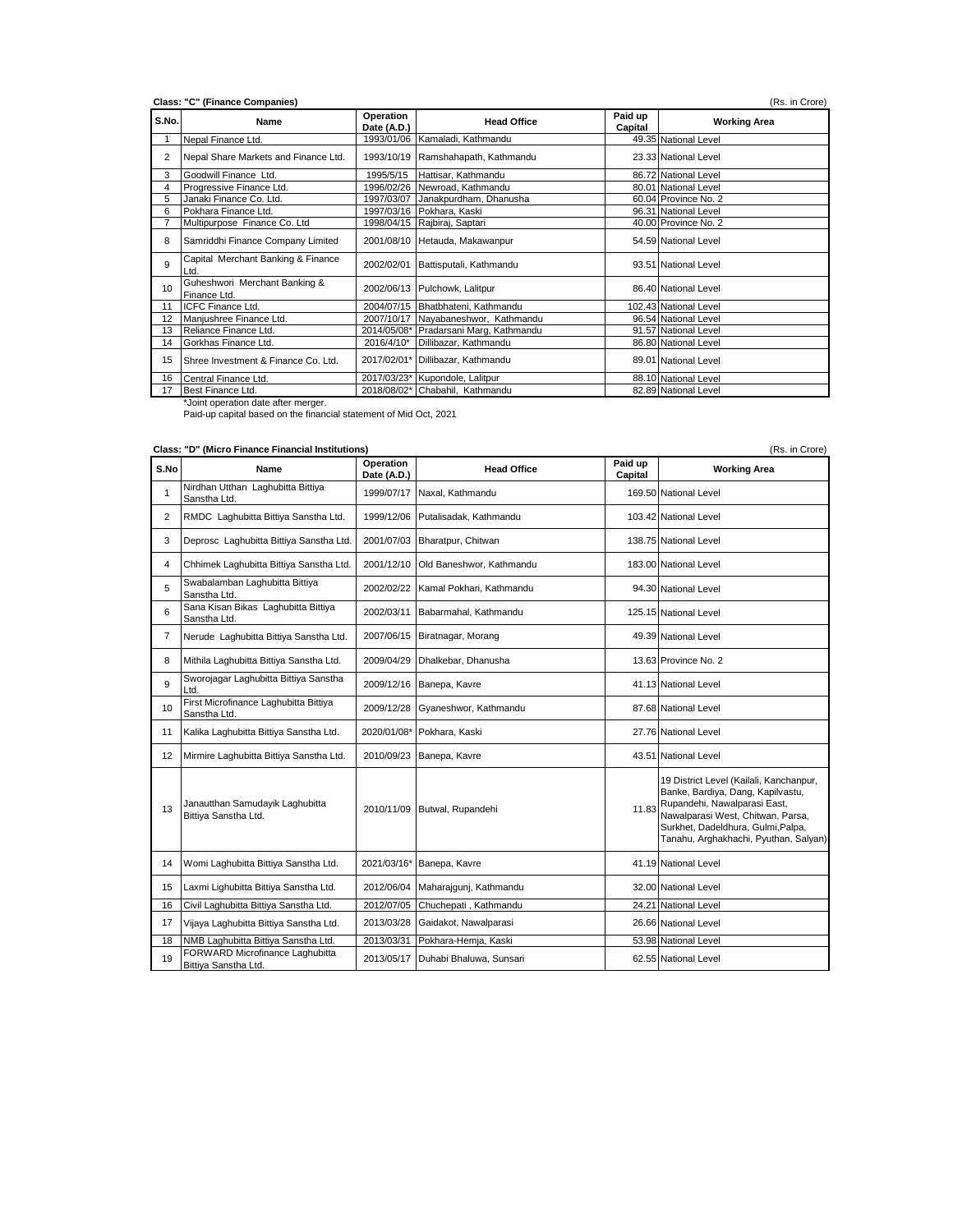| S.No. | Name                                          | Operation<br>Date (A.D.) | <b>Head Office</b>                     | Paid up<br>Capital | <b>Working Area</b>   |
|-------|-----------------------------------------------|--------------------------|----------------------------------------|--------------------|-----------------------|
|       | Nepal Finance Ltd.                            |                          | 1993/01/06 Kamaladi, Kathmandu         |                    | 49.35 National Level  |
| 2     | Nepal Share Markets and Finance Ltd.          |                          | 1993/10/19 Ramshahapath, Kathmandu     |                    | 23.33 National Level  |
| 3     | Goodwill Finance Ltd.                         | 1995/5/15                | Hattisar, Kathmandu                    |                    | 86.72 National Level  |
| 4     | Progressive Finance Ltd.                      |                          | 1996/02/26 Newroad, Kathmandu          |                    | 80.01 National Level  |
| 5     | Janaki Finance Co. Ltd.                       |                          | 1997/03/07 Janakpurdham, Dhanusha      |                    | 60.04 Province No. 2  |
| 6     | Pokhara Finance Ltd.                          |                          | 1997/03/16 Pokhara, Kaski              |                    | 96.31 National Level  |
|       | Multipurpose Finance Co. Ltd                  |                          | 1998/04/15 Rajbiraj, Saptari           |                    | 40.00 Province No. 2  |
| 8     | Samriddhi Finance Company Limited             |                          | 2001/08/10 Hetauda, Makawanpur         |                    | 54.59 National Level  |
| 9     | Capital Merchant Banking & Finance<br>Ltd.    | 2002/02/01               | Battisputali, Kathmandu                |                    | 93.51 National Level  |
| 10    | Guheshwori Merchant Banking &<br>Finance Ltd. |                          | 2002/06/13 Pulchowk, Lalitpur          |                    | 86.40 National Level  |
| 11    | ICFC Finance Ltd.                             |                          | 2004/07/15 Bhatbhateni, Kathmandu      |                    | 102.43 National Level |
| 12    | Manjushree Finance Ltd.                       |                          | 2007/10/17 Nayabaneshwor, Kathmandu    |                    | 96.54 National Level  |
| 13    | Reliance Finance Ltd.                         |                          | 2014/05/08* Pradarsani Marg, Kathmandu |                    | 91.57 National Level  |
| 14    | Gorkhas Finance Ltd.                          | 2016/4/10*               | Dillibazar, Kathmandu                  |                    | 86.80 National Level  |
| 15    | Shree Investment & Finance Co. Ltd.           |                          | 2017/02/01* Dillibazar, Kathmandu      |                    | 89.01 National Level  |
| 16    | Central Finance Ltd.                          |                          | 2017/03/23* Kupondole, Lalitpur        |                    | 88.10 National Level  |
| 17    | Best Finance Ltd.                             |                          | 2018/08/02* Chabahil, Kathmandu        |                    | 82.89 National Level  |

|                | Class: "D" (Micro Finance Financial Institutions)<br>(Rs. in Crore) |                          |                                     |                    |                                                                                                                                                                                                                                  |  |  |
|----------------|---------------------------------------------------------------------|--------------------------|-------------------------------------|--------------------|----------------------------------------------------------------------------------------------------------------------------------------------------------------------------------------------------------------------------------|--|--|
| S.No           | Name                                                                | Operation<br>Date (A.D.) | <b>Head Office</b>                  | Paid up<br>Capital | <b>Working Area</b>                                                                                                                                                                                                              |  |  |
| $\mathbf{1}$   | Nirdhan Utthan Laghubitta Bittiya<br>Sanstha Ltd.                   |                          | 1999/07/17 Naxal, Kathmandu         |                    | 169.50 National Level                                                                                                                                                                                                            |  |  |
| 2              | RMDC Laghubitta Bittiya Sanstha Ltd.                                | 1999/12/06               | Putalisadak, Kathmandu              |                    | 103.42 National Level                                                                                                                                                                                                            |  |  |
| 3              | Deprosc Laghubitta Bittiya Sanstha Ltd.                             | 2001/07/03               | Bharatpur, Chitwan                  |                    | 138.75 National Level                                                                                                                                                                                                            |  |  |
| 4              | Chhimek Laghubitta Bittiya Sanstha Ltd.                             |                          | 2001/12/10 Old Baneshwor, Kathmandu |                    | 183.00 National Level                                                                                                                                                                                                            |  |  |
| 5              | Swabalamban Laghubitta Bittiya<br>Sanstha Ltd.                      | 2002/02/22               | Kamal Pokhari, Kathmandu            |                    | 94.30 National Level                                                                                                                                                                                                             |  |  |
| 6              | Sana Kisan Bikas Laghubitta Bittiya<br>Sanstha Ltd.                 |                          | 2002/03/11 Babarmahal, Kathmandu    |                    | 125.15 National Level                                                                                                                                                                                                            |  |  |
| $\overline{7}$ | Nerude Laghubitta Bittiya Sanstha Ltd.                              |                          | 2007/06/15 Biratnagar, Morang       |                    | 49.39 National Level                                                                                                                                                                                                             |  |  |
| 8              | Mithila Laghubitta Bittiya Sanstha Ltd.                             | 2009/04/29               | Dhalkebar, Dhanusha                 |                    | 13.63 Province No. 2                                                                                                                                                                                                             |  |  |
| 9              | Sworojagar Laghubitta Bittiya Sanstha<br>Ltd.                       |                          | 2009/12/16 Banepa, Kavre            |                    | 41.13 National Level                                                                                                                                                                                                             |  |  |
| 10             | First Microfinance Laghubitta Bittiya<br>Sanstha Ltd.               | 2009/12/28               | Gyaneshwor, Kathmandu               |                    | 87.68 National Level                                                                                                                                                                                                             |  |  |
| 11             | Kalika Laghubitta Bittiya Sanstha Ltd.                              |                          | 2020/01/08* Pokhara, Kaski          |                    | 27.76 National Level                                                                                                                                                                                                             |  |  |
| 12             | Mirmire Laghubitta Bittiya Sanstha Ltd.                             | 2010/09/23               | Banepa, Kavre                       |                    | 43.51 National Level                                                                                                                                                                                                             |  |  |
| 13             | Janautthan Samudayik Laghubitta<br>Bittiya Sanstha Ltd.             |                          | 2010/11/09 Butwal, Rupandehi        | 11.83              | 19 District Level (Kailali, Kanchanpur,<br>Banke, Bardiya, Dang, Kapilvastu,<br>Rupandehi, Nawalparasi East,<br>Nawalparasi West, Chitwan, Parsa,<br>Surkhet, Dadeldhura, Gulmi, Palpa,<br>Tanahu, Arghakhachi, Pyuthan, Salyan) |  |  |
| 14             | Womi Laghubitta Bittiya Sanstha Ltd.                                |                          | 2021/03/16* Banepa, Kavre           |                    | 41.19 National Level                                                                                                                                                                                                             |  |  |
| 15             | Laxmi Lighubitta Bittiya Sanstha Ltd.                               |                          | 2012/06/04 Maharajqunj, Kathmandu   |                    | 32.00 National Level                                                                                                                                                                                                             |  |  |
| 16             | Civil Laghubitta Bittiya Sanstha Ltd.                               | 2012/07/05               | Chuchepati, Kathmandu               |                    | 24.21 National Level                                                                                                                                                                                                             |  |  |
| 17             | Vijaya Laghubitta Bittiya Sanstha Ltd.                              | 2013/03/28               | Gaidakot, Nawalparasi               |                    | 26.66 National Level                                                                                                                                                                                                             |  |  |
| 18             | NMB Laghubitta Bittiya Sanstha Ltd.                                 | 2013/03/31               | Pokhara-Hemja, Kaski                |                    | 53.98 National Level                                                                                                                                                                                                             |  |  |
| 19             | FORWARD Microfinance Laghubitta<br>Bittiva Sanstha Ltd.             |                          | 2013/05/17 Duhabi Bhaluwa, Sunsari  |                    | 62.55 National Level                                                                                                                                                                                                             |  |  |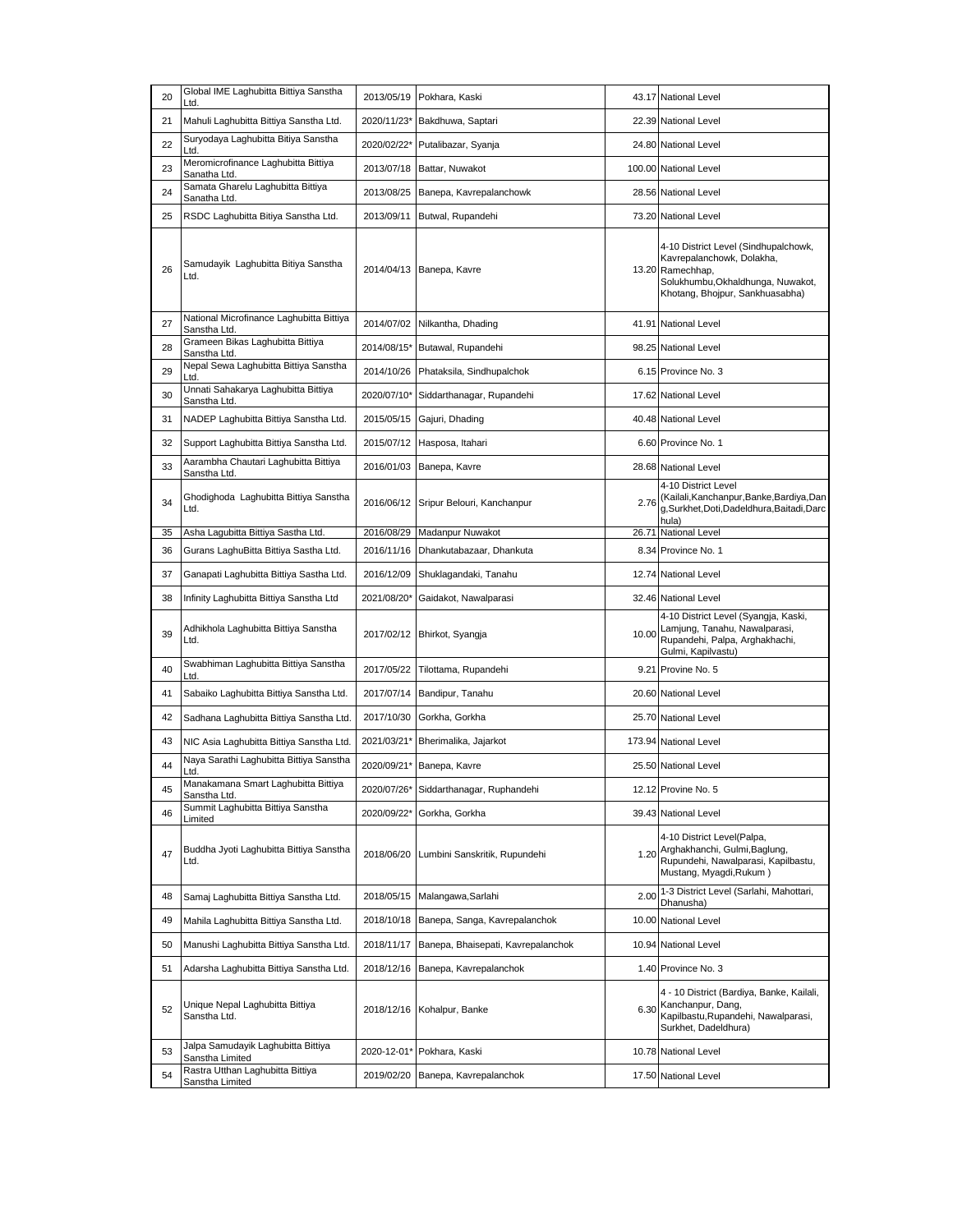| 20 | Global IME Laghubitta Bittiya Sanstha<br>Ltd.            | 2013/05/19  | Pokhara, Kaski                     | 43.17 | <b>National Level</b>                                                                                                                                         |
|----|----------------------------------------------------------|-------------|------------------------------------|-------|---------------------------------------------------------------------------------------------------------------------------------------------------------------|
| 21 | Mahuli Laghubitta Bittiya Sanstha Ltd.                   |             | 2020/11/23* Bakdhuwa, Saptari      |       | 22.39 National Level                                                                                                                                          |
| 22 | Suryodaya Laghubitta Bitiya Sanstha<br>Ltd.              | 2020/02/22* | Putalibazar, Syanja                |       | 24.80 National Level                                                                                                                                          |
| 23 | Meromicrofinance Laghubitta Bittiya<br>Sanatha Ltd.      | 2013/07/18  | Battar, Nuwakot                    |       | 100.00 National Level                                                                                                                                         |
| 24 | Samata Gharelu Laghubitta Bittiya<br>Sanatha Ltd.        | 2013/08/25  | Banepa, Kavrepalanchowk            |       | 28.56 National Level                                                                                                                                          |
| 25 | RSDC Laghubitta Bitiya Sanstha Ltd.                      | 2013/09/11  | Butwal, Rupandehi                  |       | 73.20 National Level                                                                                                                                          |
| 26 | Samudayik Laghubitta Bitiya Sanstha<br>Ltd.              |             | 2014/04/13 Banepa, Kavre           |       | 4-10 District Level (Sindhupalchowk,<br>Kavrepalanchowk, Dolakha,<br>13.20 Ramechhap,<br>Solukhumbu, Okhaldhunga, Nuwakot,<br>Khotang, Bhojpur, Sankhuasabha) |
| 27 | National Microfinance Laghubitta Bittiya<br>Sanstha Ltd. | 2014/07/02  | Nilkantha, Dhading                 |       | 41.91 National Level                                                                                                                                          |
| 28 | Grameen Bikas Laghubitta Bittiya<br>Sanstha Ltd.         | 2014/08/15* | Butawal, Rupandehi                 |       | 98.25 National Level                                                                                                                                          |
| 29 | Nepal Sewa Laghubitta Bittiya Sanstha<br>Ltd.            | 2014/10/26  | Phataksila, Sindhupalchok          |       | 6.15 Province No. 3                                                                                                                                           |
| 30 | Unnati Sahakarya Laghubitta Bittiya<br>Sanstha Ltd.      | 2020/07/10* | Siddarthanagar, Rupandehi          |       | 17.62 National Level                                                                                                                                          |
| 31 | NADEP Laghubitta Bittiya Sanstha Ltd.                    | 2015/05/15  | Gajuri, Dhading                    |       | 40.48 National Level                                                                                                                                          |
| 32 | Support Laghubitta Bittiya Sanstha Ltd.                  | 2015/07/12  | Hasposa, Itahari                   |       | 6.60 Province No. 1                                                                                                                                           |
| 33 | Aarambha Chautari Laghubitta Bittiya<br>Sanstha Ltd.     | 2016/01/03  | Banepa, Kavre                      |       | 28.68 National Level                                                                                                                                          |
| 34 | Ghodighoda Laghubitta Bittiya Sanstha<br>Ltd.            | 2016/06/12  | Sripur Belouri, Kanchanpur         | 2.76  | 4-10 District Level<br>(Kailali, Kanchanpur, Banke, Bardiya, Dan<br>g,Surkhet,Doti,Dadeldhura,Baitadi,Darc<br>hula)                                           |
| 35 | Asha Lagubitta Bittiya Sastha Ltd.                       | 2016/08/29  | Madanpur Nuwakot                   |       | 26.71 National Level                                                                                                                                          |
| 36 | Gurans LaghuBitta Bittiya Sastha Ltd.                    | 2016/11/16  | Dhankutabazaar, Dhankuta           |       | 8.34 Province No. 1                                                                                                                                           |
| 37 | Ganapati Laghubitta Bittiya Sastha Ltd.                  | 2016/12/09  | Shuklagandaki, Tanahu              |       | 12.74 National Level                                                                                                                                          |
| 38 | Infinity Laghubitta Bittiya Sanstha Ltd                  | 2021/08/20* | Gaidakot, Nawalparasi              |       | 32.46 National Level                                                                                                                                          |
| 39 | Adhikhola Laghubitta Bittiya Sanstha<br>Ltd.             |             | 2017/02/12 Bhirkot, Syangja        | 10.00 | 4-10 District Level (Syangja, Kaski,<br>Lamjung, Tanahu, Nawalparasi,<br>Rupandehi, Palpa, Arghakhachi,<br>Gulmi, Kapilvastu)                                 |
| 40 | Swabhiman Laghubitta Bittiya Sanstha<br>Ltd.             | 2017/05/22  | Tilottama, Rupandehi               |       | 9.21 Provine No. 5                                                                                                                                            |
| 41 | Sabaiko Laghubitta Bittiya Sanstha Ltd.                  | 2017/07/14  | Bandipur, Tanahu                   |       | 20.60 National Level                                                                                                                                          |
| 42 | Sadhana Laghubitta Bittiya Sanstha Ltd.                  | 2017/10/30  | Gorkha, Gorkha                     |       | 25.70 National Level                                                                                                                                          |
| 43 | NIC Asia Laghubitta Bittiya Sanstha Ltd.                 | 2021/03/21* | Bherimalika, Jajarkot              |       | 173.94 National Level                                                                                                                                         |
| 44 | Naya Sarathi Laghubitta Bittiya Sanstha<br>Ltd.          |             | 2020/09/21* Banepa, Kavre          |       | 25.50 National Level                                                                                                                                          |
| 45 | Manakamana Smart Laghubitta Bittiya<br>Sanstha Ltd.      | 2020/07/26* | Siddarthanagar, Ruphandehi         |       | 12.12 Provine No. 5                                                                                                                                           |
| 46 | Summit Laghubitta Bittiya Sanstha<br>Limited             | 2020/09/22* | Gorkha, Gorkha                     |       | 39.43 National Level                                                                                                                                          |
| 47 | Buddha Jyoti Laghubitta Bittiya Sanstha<br>Ltd.          | 2018/06/20  | Lumbini Sanskritik, Rupundehi      | 1.20  | 4-10 District Level(Palpa,<br>Arghakhanchi, Gulmi, Baglung,<br>Rupundehi, Nawalparasi, Kapilbastu,<br>Mustang, Myagdi, Rukum)                                 |
| 48 | Samaj Laghubitta Bittiya Sanstha Ltd.                    | 2018/05/15  | Malangawa, Sarlahi                 | 2.00  | 1-3 District Level (Sarlahi, Mahottari,<br>Dhanusha)                                                                                                          |
| 49 | Mahila Laghubitta Bittiya Sanstha Ltd.                   | 2018/10/18  | Banepa, Sanga, Kavrepalanchok      |       | 10.00 National Level                                                                                                                                          |
| 50 | Manushi Laghubitta Bittiya Sanstha Ltd.                  | 2018/11/17  | Banepa, Bhaisepati, Kavrepalanchok |       | 10.94 National Level                                                                                                                                          |
| 51 | Adarsha Laghubitta Bittiya Sanstha Ltd.                  | 2018/12/16  | Banepa, Kavrepalanchok             |       | 1.40 Province No. 3                                                                                                                                           |
| 52 | Unique Nepal Laghubitta Bittiya<br>Sanstha Ltd.          | 2018/12/16  | Kohalpur, Banke                    |       | 4 - 10 District (Bardiya, Banke, Kailali,<br>6.30 Kanchanpur, Dang,<br>Kapilbastu, Rupandehi, Nawalparasi,<br>Surkhet, Dadeldhura)                            |
| 53 | Jalpa Samudayik Laghubitta Bittiya<br>Sanstha Limited    | 2020-12-01* | Pokhara, Kaski                     |       | 10.78 National Level                                                                                                                                          |
|    | Rastra Utthan Laghubitta Bittiya                         |             | Banepa, Kavrepalanchok             |       | 17.50 National Level                                                                                                                                          |